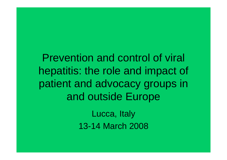Prevention and control of viral hepatitis: the role and impact of patient and advocacy groups in and outside Europe

> Lucca, Italy 13-14 March 2008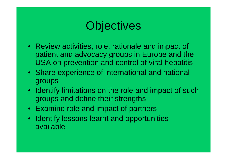# **Objectives**

- Review activities, role, rationale and impact of patient and advocacy groups in Europe and the USA on prevention and control of viral hepatitis
- Share experience of international and national groups
- Identify limitations on the role and impact of such groups and define their strengths
- Examine role and impact of partners
- Identify lessons learnt and opportunities available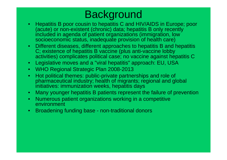#### Background

- Hepatitis B poor cousin to hepatitis C and HIV/AIDS in Europe; poor (acute) or non-existent (chronic) data; hepatitis B only recently included in agenda of patient organizations (immigration, low socioeconomic status, inadequate provision of health care)
- Different diseases, different approaches to hepatitis B and hepatitis C; existence of hepatitis B vaccine (plus anti-vaccine lobby activities) complicates political case; no vaccine against hepatitis C
- Legislative moves and a "viral hepatitis" approach: EU, USA
- WHO Regional Strategic Plan 2008-2013
- Hot political themes: public-private partnerships and role of pharmaceutical industry; health of migrants; regional and global initiatives: immunization weeks, hepatitis days
- Many younger hepatitis B patients represent the failure of prevention
- Numerous patient organizations working in a competitive environment
- Broadening funding base non-traditional donors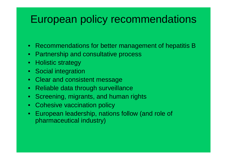#### European policy recommendations

- Recommendations for better management of hepatitis B
- Partnership and consultative process
- Holistic strategy
- Social integration
- Clear and consistent message
- Reliable data through surveillance
- Screening, migrants, and human rights
- Cohesive vaccination policy
- European leadership, nations follow (and role of pharmaceutical industry)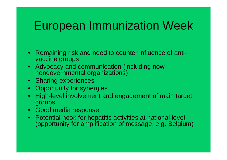# European Immunization Week

- Remaining risk and need to counter influence of antivaccine groups
- Advocacy and communication (including now nongovernmental organizations)
- Sharing experiences
- Opportunity for synergies
- High-level involvement and engagement of main target groups
- Good media response
- Potential hook for hepatitis activities at national level (opportunity for amplification of message, e.g. Belgium)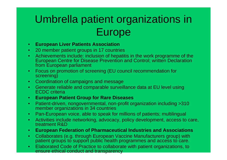## Umbrella patient organizations in Europe

- **European Liver Patients Association**
- 20 member patient groups in 17 countries
- Achievements include: inclusion of hepatitis in the work programme of the European Centre for Disease Prevention and Control; written Declaration from European parliament
- Focus on promotion of screening (EU council recommendation for screening)
- Coordination of campaigns and message
- Generate reliable and comparable surveillance data at EU level using ECDC criteria
- **European Patient Group for Rare Diseases**
- Patient-driven, nongovernmental, non-profit organization including >310 member organizations in 34 countries
- Pan-European voice, able to speak for millions of patients; multilingual
- Activities include networking, advocacy, policy development, access to care, treatment R&D
- **European Federation of Pharmaceutical Industries and Associations**
- Collaborates (e.g. through European Vaccine Manufacturers group) with patient groups to support public health programmes and access to care.
- Elaborated Code of Practice to collaborate with patient organizations, to ensure ethical conduct and transparency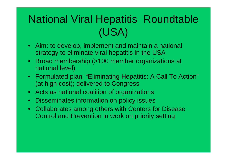## National Viral Hepatitis Roundtable (USA)

- Aim: to develop, implement and maintain a national strategy to eliminate viral hepatitis in the USA
- Broad membership (>100 member organizations at national level)
- Formulated plan: "Eliminating Hepatitis: A Call To Action" (at high cost); delivered to Congress
- Acts as national coalition of organizations
- Disseminates information on policy issues
- Collaborates among others with Centers for Disease Control and Prevention in work on priority setting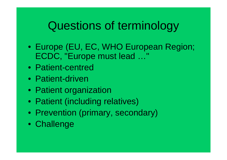# Questions of terminology

- Europe (EU, EC, WHO European Region; ECDC, "Europe must lead …"
- Patient-centred
- Patient-driven
- Patient organization
- Patient (including relatives)
- Prevention (primary, secondary)
- Challenge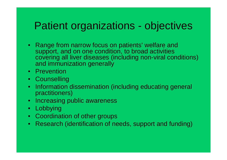#### Patient organizations - objectives

- Range from narrow focus on patients' welfare and support, and on one condition, to broad activities covering all liver diseases (including non-viral conditions) and immunization generally
- Prevention
- Counselling
- Information dissemination (including educating general practitioners)
- Increasing public awareness
- Lobbying
- Coordination of other groups
- Research (identification of needs, support and funding)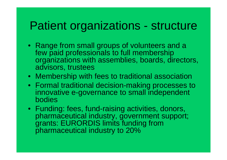### Patient organizations - structure

- Range from small groups of volunteers and a few paid professionals to full membership organizations with assemblies, boards, directors, advisors, trustees
- Membership with fees to traditional association
- Formal traditional decision-making processes to innovative e-governance to small independent bodies
- Funding: fees, fund-raising activities, donors, pharmaceutical industry, government support; grants: EURORDIS limits funding from pharmaceutical industry to 20%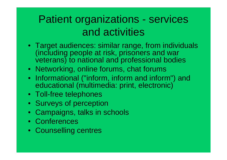### Patient organizations - services and activities

- Target audiences: similar range, from individuals (including people at risk, prisoners and war veterans) to national and professional bodies
- Networking, online forums, chat forums
- Informational ("inform, inform and inform") and educational (multimedia: print, electronic)
- Toll-free telephones
- Surveys of perception
- Campaigns, talks in schools
- Conferences
- Counselling centres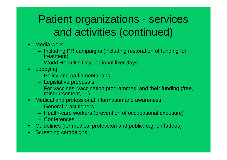### Patient organizations - services and activities (continued)

- Media work
	- Including PR campaigns (including restoration of funding for treatment)
	- World Hepatitis Day, national liver days
- Lobbying
	- Policy and parliamentarians
	- Legislative proposals
	- For vaccines, vaccination programmes, and their funding (free, reimbursement, …)
- Medical and professional information and awareness
	- General practitioners
	- Health-care workers (prevention of occupational exposure)
	- Conferences
- Guidelines (for medical profession and public, e.g. on tattoos)
- Screening campaigns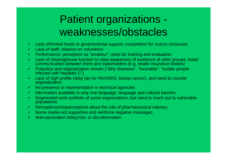### Patient organizations weaknesses/obstacles

- Lack of/limited funds or governmental support; competition for scarce resources
- Lack of staff; reliance on volunteers
- Performance: perception as "amateur"; need for training and evaluation
- Lack of clearinghouse function to raise awareness of existence of other groups, foster communication between them and stakeholders (e.g. health insurance bodies)
- Prejudice and stigmatization remain ("dirty diseases", "incurable"; "isolate people infected with hepatitis C")
- Lack of high profile lobby (as for HIV/AIDS, breast cancer), and need to counter stigmatization
- No presence or representation in technical agencies
- Information available in only one language; language and cultural barriers
- Segmented work portfolio of some organizations, but need to reach out to vulnerable populations
- Perceptions/misperceptions about the role of pharmaceutical industry
- Some media not supportive and reinforce negative messages
- Anti-vaccination lobby/mis- or dis-information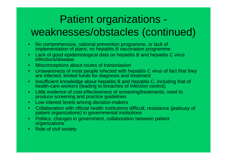## Patient organizations weaknesses/obstacles (continued)

- No comprehensive, national prevention programme, or lack of implementation of plans; no hepatitis B vaccination programme
- Lack of good epidemiological data on hepatitis B and hepatitis C virus infections/disease
- Misconceptions about routes of transmission
- Unawareness of most people infected with hepatitis C virus of fact that they are infected; limited funds for diagnosis and treatment
- Insufficient knowledge about hepatitis B and hepatitis C, including that of health-care workers (leading to breaches of infection control)
- Little evidence of cost-effectiveness of screening/treatments; need to produce screening and practice guidelines
- Low interest levels among decision-makers
- Collaboration with official health institutions difficult; resistance (jealousy of patient organizations) in governmental institutions
- Politics, changes in government, collaboration between patient organizations
- Role of civil society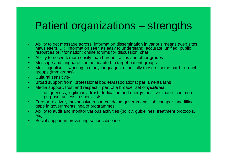#### Patient organizations – strengths

- Ability to get message across: information dissemination in various means (web sites, newsletters, …); information seen as easy to understand, accurate, unified; public resources of information; online forums for discussion, chat
- Ability to network more easily than bureaucracies and other groups
- Message and language can be adapted to target patient groups
- Multilingualism working in many languages, especially those of some hard-to-reach groups (immigrants)
- Cultural sensitivity
- Broad support from: professional bodies/associations; parliamentarians
- Media support, trust and respect part of a broader set of *qualities:*
	- uniqueness, legitimacy, trust, dedication and energy, positive image, common purpose, access to specialists
- Free or relatively inexpensive resource: doing governments' job cheaper, and filling gaps in governments' health programmes
- Ability to audit and monitor various activities (policy, guidelines, treatment protocols, etc)
- Social support in preventing serious disease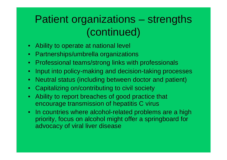### Patient organizations – strengths (continued)

- Ability to operate at national level
- Partnerships/umbrella organizations
- Professional teams/strong links with professionals
- Input into policy-making and decision-taking processes
- Neutral status (including between doctor and patient)
- Capitalizing on/contributing to civil society
- Ability to report breaches of good practice that encourage transmission of hepatitis C virus
- In countries where alcohol-related problems are a high priority, focus on alcohol might offer a springboard for advocacy of viral liver disease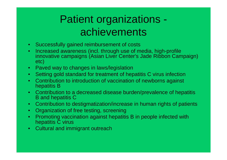### Patient organizations achievements

- Successfully gained reimbursement of costs
- Increased awareness (incl. through use of media, high-profile innovative campaigns (Asian Liver Center's Jade Ribbon Campaign) etc)
- Paved way to changes in laws/legislation
- Setting gold standard for treatment of hepatitis C virus infection
- Contribution to introduction of vaccination of newborns against hepatitis B
- Contribution to a decreased disease burden/prevalence of hepatitis B and hepatitis C
- Contribution to destigmatization/increase in human rights of patients
- Organization of free testing, screening
- Promoting vaccination against hepatitis B in people infected with hepatitis  $\check{C}$  virus
- Cultural and immigrant outreach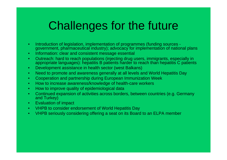# Challenges for the future

- Introduction of legislation, implementation of programmes (funding sources government, pharmaceutical industry); advocacy for implementation of national plans
- Information: clear and consistent message essential
- Outreach: hard to reach populations (injecting drug users, immigrants, especially in appropriate languages): hepatitis B patients harder to reach than hepatitis C patients
- Development assistance in health sector (west Balkans)
- Need to promote and awareness generally at all levels and World Hepatitis Day
- Cooperation and partnership during European Immunization Week
- How to increase awareness/knowledge of health-care workers
- How to improve quality of epidemiological data
- Continued expansion of activities across borders, between countries (e.g. Germany and Turkey)
- Evaluation of impact
- VHPB to consider endorsement of World Hepatitis Day
- VHPB seriously considering offering a seat on its Board to an ELPA member